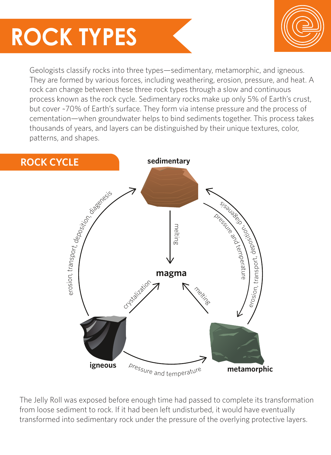## **ROCK TYPES**



Geologists classify rocks into three types—sedimentary, metamorphic, and igneous. They are formed by various forces, including weathering, erosion, pressure, and heat. A rock can change between these three rock types through a slow and continuous process known as the rock cycle. Sedimentary rocks make up only 5% of Earth's crust, but cover ~70% of Earth's surface. They form via intense pressure and the process of cementation—when groundwater helps to bind sediments together. This process takes thousands of years, and layers can be distinguished by their unique textures, color, patterns, and shapes.



The Jelly Roll was exposed before enough time had passed to complete its transformation from loose sediment to rock. If it had been left undisturbed, it would have eventually transformed into sedimentary rock under the pressure of the overlying protective layers.